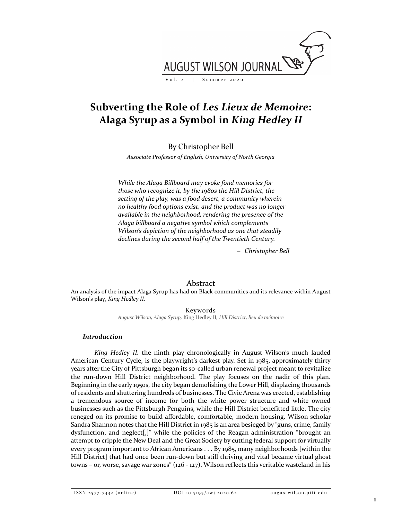

# Subverting the Role of Les Lieux de Memoire: Alaga Syrup as a Symbol in King Hedley II

By Christopher Bell

Associate Professor of English, University of North Georgia

While the Alaga Billboard may evoke fond memories for those who recognize it, by the 1980s the Hill District, the setting of the play, was a food desert, a community wherein no healthy food options exist, and the product was no longer available in the neighborhood, rendering the presence of the Alaga billboard a negative symbol which complements Wilson's depiction of the neighborhood as one that steadily declines during the second half of the Twentieth Century.

Christopher Bell

## Abstract

An analysis of the impact Alaga Syrup has had on Black communities and its relevance within August Wilson's play, King Hedley II.

Keywords

August Wilson, Alaga Syrup, King Hedley II, Hill District, lieu de mémoire

## Introduction

King Hedley II, the ninth play chronologically in August Wilson's much lauded American Century Cycle, is the playwright's darkest play. Set in 1985, approximately thirty years after the City of Pittsburgh began its so-called urban renewal project meant to revitalize the run-down Hill District neighborhood. The play focuses on the nadir of this plan. Beginning in the early 1950s, the city began demolishing the Lower Hill, displacing thousands of residents and shuttering hundreds of businesses. The Civic Arena was erected, establishing a tremendous source of income for both the white power structure and white owned businesses such as the Pittsburgh Penguins, while the Hill District benefitted little. The city reneged on its promise to build affordable, comfortable, modern housing. Wilson scholar Sandra Shannon notes that the Hill District in 1985 is an area besieged by "guns, crime, family dysfunction, and neglect[,]" while the policies of the Reagan administration "brought an attempt to cripple the New Deal and the Great Society by cutting federal support for virtually every program important to African Americans . . . By 1985, many neighborhoods [within the Hill District] that had once been run-down but still thriving and vital became virtual ghost towns – or, worse, savage war zones" (126 - 127). Wilson reflects this veritable wasteland in his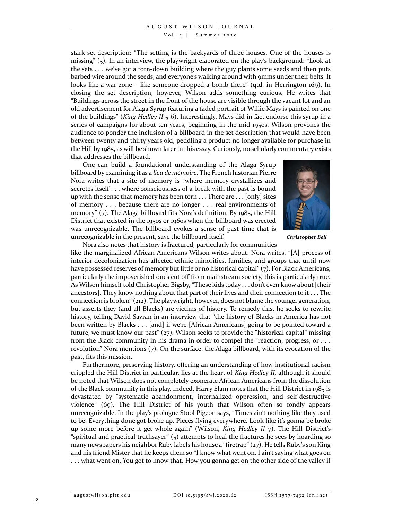#### V o l . 2 | Summer 2020

stark set description: "The setting is the backyards of three houses. One of the houses is missing" (5). In an interview, the playwright elaborated on the play's background: "Look at the sets . . . we've got a torn-down building where the guy plants some seeds and then puts barbed wire around the seeds, and everyone's walking around with 9mms under their belts. It looks like a war zone – like someone dropped a bomb there" (qtd. in Herrington 169). In closing the set description, however, Wilson adds something curious. He writes that "Buildings across the street in the front of the house are visible through the vacant lot and an old advertisement for Alaga Syrup featuring a faded portrait of Willie Mays is painted on one of the buildings" (King Hedley II  $5-6$ ). Interestingly, Mays did in fact endorse this syrup in a series of campaigns for about ten years, beginning in the mid-1950s. Wilson provokes the audience to ponder the inclusion of a billboard in the set description that would have been between twenty and thirty years old, peddling a product no longer available for purchase in the Hill by 1985, as will be shown later in this essay. Curiously, no scholarly commentary exists that addresses the billboard.

One can build a foundational understanding of the Alaga Syrup billboard by examining it as a lieu de mémoire. The French historian Pierre Nora writes that a site of memory is "where memory crystallizes and secretes itself . . . where consciousness of a break with the past is bound up with the sense that memory has been torn . . . There are . . . [only] sites of memory . . . because there are no longer . . . real environments of memory" (7). The Alaga billboard fits Nora's definition. By 1985, the Hill District that existed in the 1950s or 1960s when the billboard was erected was unrecognizable. The billboard evokes a sense of past time that is unrecognizable in the present, save the billboard itself.



Christopher Bell

Nora also notes that history is fractured, particularly for communities

like the marginalized African Americans Wilson writes about. Nora writes, "[A] process of interior decolonization has affected ethnic minorities, families, and groups that until now have possessed reserves of memory but little or no historical capital" (7). For Black Americans, particularly the impoverished ones cut off from mainstream society, this is particularly true. As Wilson himself told Christopher Bigsby, "These kids today . . . don't even know about [their ancestors]. They know nothing about that part of their lives and their connection to it . . . The connection is broken" (212). The playwright, however, does not blame the younger generation, but asserts they (and all Blacks) are victims of history. To remedy this, he seeks to rewrite history, telling David Savran in an interview that "the history of Blacks in America has not been written by Blacks . . . [and] if we're [African Americans] going to be pointed toward a future, we must know our past"  $(z_7)$ . Wilson seeks to provide the "historical capital" missing from the Black community in his drama in order to compel the "reaction, progress, or . . . revolution" Nora mentions (7). On the surface, the Alaga billboard, with its evocation of the past, fits this mission.

Furthermore, preserving history, offering an understanding of how institutional racism crippled the Hill District in particular, lies at the heart of King Hedley II, although it should be noted that Wilson does not completely exonerate African Americans from the dissolution of the Black community in this play. Indeed, Harry Elam notes that the Hill District in 1985 is devastated by "systematic abandonment, internalized oppression, and self-destructive violence" (69). The Hill District of his youth that Wilson often so fondly appears unrecognizable. In the play's prologue Stool Pigeon says, "Times ain't nothing like they used to be. Everything done got broke up. Pieces flying everywhere. Look like it's gonna be broke up some more before it get whole again" (Wilson, King Hedley II 7). The Hill District's "spiritual and practical truthsayer" (5) attempts to heal the fractures he sees by hoarding so many newspapers his neighbor Ruby labels his house a "firetrap" (27). He tells Ruby's son King and his friend Mister that he keeps them so "I know what went on. I ain't saying what goes on . . . what went on. You got to know that. How you gonna get on the other side of the valley if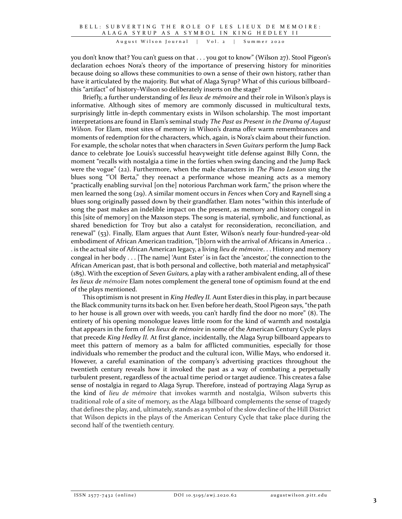you don't know that? You can't guess on that . . . you got to know" (Wilson 27). Stool Pigeon's declaration echoes Nora's theory of the importance of preserving history for minorities because doing so allows these communities to own a sense of their own history, rather than have it articulated by the majority. But what of Alaga Syrup? What of this curious billboard– this "artifact" of history–Wilson so deliberately inserts on the stage?

Briefly, a further understanding of les lieux de mémoire and their role in Wilson's plays is informative. Although sites of memory are commonly discussed in multicultural texts, surprisingly little in-depth commentary exists in Wilson scholarship. The most important interpretations are found in Elam's seminal study The Past as Present in the Drama of August Wilson. For Elam, most sites of memory in Wilson's drama offer warm remembrances and moments of redemption for the characters, which, again, is Nora's claim about their function. For example, the scholar notes that when characters in Seven Guitars perform the Jump Back dance to celebrate Joe Louis's successful heavyweight title defense against Billy Conn, the moment "recalls with nostalgia a time in the forties when swing dancing and the Jump Back were the vogue" (22). Furthermore, when the male characters in The Piano Lesson sing the blues song "'Ol Berta," they reenact a performance whose meaning acts as a memory "practically enabling survival [on the] notorious Parchman work farm," the prison where the men learned the song  $(29)$ . A similar moment occurs in *Fences* when Cory and Raynell sing a blues song originally passed down by their grandfather. Elam notes "within this interlude of song the past makes an indelible impact on the present, as memory and history congeal in this [site of memory] on the Maxson steps. The song is material, symbolic, and functional, as shared benediction for Troy but also a catalyst for reconsideration, reconciliation, and renewal" (53). Finally, Elam argues that Aunt Ester, Wilson's nearly four-hundred-year-old embodiment of African American tradition, "[b]orn with the arrival of Africans in America . . . is the actual site of African American legacy, a living *lieu de mémoire.* . . History and memory congeal in her body . . . [The name] 'Aunt Ester' is in fact the 'ancestor,' the connection to the African American past, that is both personal and collective, both material and metaphysical"  $(185)$ . With the exception of *Seven Guitars*, a play with a rather ambivalent ending, all of these les lieux de mémoire Elam notes complement the general tone of optimism found at the end of the plays mentioned.

This optimism is not present in *King Hedley II*. Aunt Ester dies in this play, in part because the Black community turns its back on her. Even before her death, Stool Pigeon says, "the path to her house is all grown over with weeds, you can't hardly find the door no more" (8). The entirety of his opening monologue leaves little room for the kind of warmth and nostalgia that appears in the form of les lieux de mémoire in some of the American Century Cycle plays that precede King Hedley II. At first glance, incidentally, the Alaga Syrup billboard appears to meet this pattern of memory as a balm for afflicted communities, especially for those individuals who remember the product and the cultural icon, Willie Mays, who endorsed it. However, a careful examination of the company's advertising practices throughout the twentieth century reveals how it invoked the past as a way of combating a perpetually turbulent present, regardless of the actual time period or target audience. This creates a false sense of nostalgia in regard to Alaga Syrup. Therefore, instead of portraying Alaga Syrup as the kind of lieu de mémoire that invokes warmth and nostalgia, Wilson subverts this traditional role of a site of memory, as the Alaga billboard complements the sense of tragedy that defines the play, and, ultimately, stands as a symbol of the slow decline of the Hill District that Wilson depicts in the plays of the American Century Cycle that take place during the second half of the twentieth century.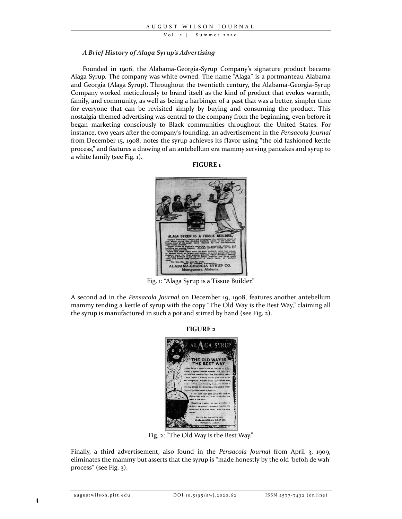$Vol. 2$  | Summer 2020

### A Brief History of Alaga Syrup's Advertising

Founded in 1906, the Alabama-Georgia-Syrup Company's signature product became Alaga Syrup. The company was white owned. The name "Alaga" is a portmanteau Alabama and Georgia (Alaga Syrup). Throughout the twentieth century, the Alabama-Georgia-Syrup Company worked meticulously to brand itself as the kind of product that evokes warmth, family, and community, as well as being a harbinger of a past that was a better, simpler time for everyone that can be revisited simply by buying and consuming the product. This nostalgia-themed advertising was central to the company from the beginning, even before it began marketing consciously to Black communities throughout the United States. For instance, two years after the company's founding, an advertisement in the Pensacola Journal from December 15, 1908, notes the syrup achieves its flavor using "the old fashioned kettle process," and features a drawing of an antebellum era mammy serving pancakes and syrup to a white family (see Fig. 1).

#### FIGURE 1



Fig. 1: "Alaga Syrup is a Tissue Builder."

A second ad in the Pensacola Journal on December 19, 1908, features another antebellum mammy tending a kettle of syrup with the copy "The Old Way is the Best Way," claiming all the syrup is manufactured in such a pot and stirred by hand (see Fig. 2).

#### FIGURE 2



Fig. 2: "The Old Way is the Best Way."

Finally, a third advertisement, also found in the Pensacola Journal from April 3, 1909, eliminates the mammy but asserts that the syrup is "made honestly by the old 'befoh de wah' process" (see Fig. 3).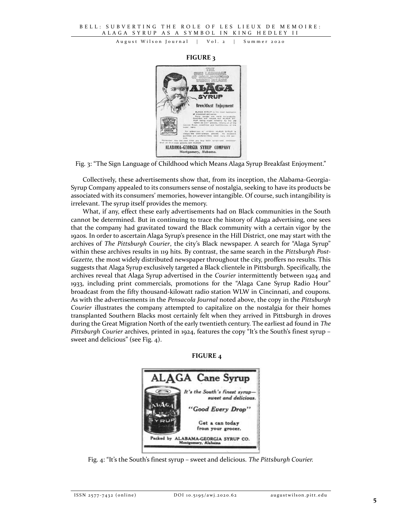## FIGURE 3



Fig. 3: "The Sign Language of Childhood which Means Alaga Syrup Breakfast Enjoyment."

Collectively, these advertisements show that, from its inception, the Alabama-Georgia-Syrup Company appealed to its consumers sense of nostalgia, seeking to have its products be associated with its consumers' memories, however intangible. Of course, such intangibility is irrelevant. The syrup itself provides the memory.

What, if any, effect these early advertisements had on Black communities in the South cannot be determined. But in continuing to trace the history of Alaga advertising, one sees that the company had gravitated toward the Black community with a certain vigor by the 1920s. In order to ascertain Alaga Syrup's presence in the Hill District, one may start with the archives of The Pittsburgh Courier, the city's Black newspaper. A search for "Alaga Syrup" within these archives results in 119 hits. By contrast, the same search in the Pittsburgh Post-Gazette, the most widely distributed newspaper throughout the city, proffers no results. This suggests that Alaga Syrup exclusively targeted a Black clientele in Pittsburgh. Specifically, the archives reveal that Alaga Syrup advertised in the Courier intermittently between 1924 and 1933, including print commercials, promotions for the "Alaga Cane Syrup Radio Hour" broadcast from the fifty thousand-kilowatt radio station WLW in Cincinnati, and coupons. As with the advertisements in the Pensacola Journal noted above, the copy in the Pittsburgh Courier illustrates the company attempted to capitalize on the nostalgia for their homes transplanted Southern Blacks most certainly felt when they arrived in Pittsburgh in droves during the Great Migration North of the early twentieth century. The earliest ad found in The Pittsburgh Courier archives, printed in 1924, features the copy "It's the South's finest syrup sweet and delicious" (see Fig. 4).





Fig. 4: "It's the South's finest syrup – sweet and delicious. The Pittsburgh Courier.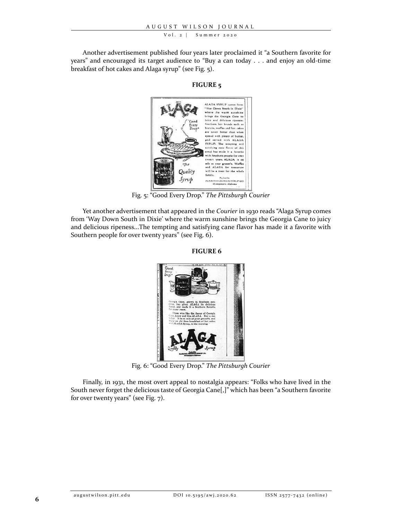#### V o l . 2 | Summer 2020

Another advertisement published four years later proclaimed it "a Southern favorite for years" and encouraged its target audience to "Buy a can today . . . and enjoy an old-time breakfast of hot cakes and Alaga syrup" (see Fig. 5).

FIGURE 5



Fig. 5: "Good Every Drop." The Pittsburgh Courier

Yet another advertisement that appeared in the Courier in 1930 reads "Alaga Syrup comes from 'Way Down South in Dixie' where the warm sunshine brings the Georgia Cane to juicy and delicious ripeness...The tempting and satisfying cane flavor has made it a favorite with Southern people for over twenty years" (see Fig. 6).

FIGURE 6



Fig. 6: "Good Every Drop." The Pittsburgh Courier

Finally, in 1931, the most overt appeal to nostalgia appears: "Folks who have lived in the South never forget the delicious taste of Georgia Cane[,]" which has been "a Southern favorite for over twenty years" (see Fig. 7).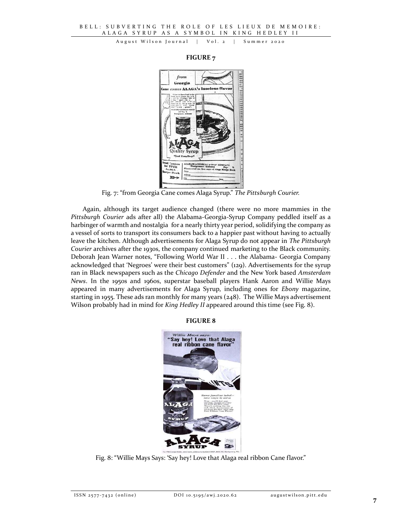#### FIGURE 7



Fig. 7: "from Georgia Cane comes Alaga Syrup." The Pittsburgh Courier.

Again, although its target audience changed (there were no more mammies in the Pittsburgh Courier ads after all) the Alabama-Georgia-Syrup Company peddled itself as a harbinger of warmth and nostalgia for a nearly thirty year period, solidifying the company as a vessel of sorts to transport its consumers back to a happier past without having to actually leave the kitchen. Although advertisements for Alaga Syrup do not appear in The Pittsburgh Courier archives after the 1930s, the company continued marketing to the Black community. Deborah Jean Warner notes, "Following World War II . . . the Alabama- Georgia Company acknowledged that 'Negroes' were their best customers" (129). Advertisements for the syrup ran in Black newspapers such as the Chicago Defender and the New York based Amsterdam News. In the 1950s and 1960s, superstar baseball players Hank Aaron and Willie Mays appeared in many advertisements for Alaga Syrup, including ones for Ebony magazine, starting in 1955. These ads ran monthly for many years (248). The Willie Mays advertisement Wilson probably had in mind for *King Hedley II* appeared around this time (see Fig. 8).

## FIGURE 8



Fig. 8: "Willie Mays Says: 'Say hey! Love that Alaga real ribbon Cane flavor."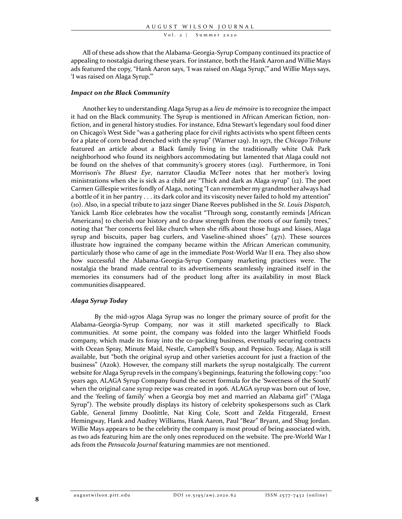V o l . 2 | Summer 2020

All of these ads show that the Alabama-Georgia-Syrup Company continued its practice of appealing to nostalgia during these years. For instance, both the Hank Aaron and Willie Mays ads featured the copy, "Hank Aaron says, 'I was raised on Alaga Syrup,'" and Willie Mays says, 'I was raised on Alaga Syrup.'"

#### Impact on the Black Community

Another key to understanding Alaga Syrup as a lieu de mémoire is to recognize the impact it had on the Black community. The Syrup is mentioned in African American fiction, nonfiction, and in general history studies. For instance, Edna Stewart's legendary soul food diner on Chicago's West Side "was a gathering place for civil rights activists who spent fifteen cents for a plate of corn bread drenched with the syrup" (Warner 129). In 1971, the Chicago Tribune featured an article about a Black family living in the traditionally white Oak Park neighborhood who found its neighbors accommodating but lamented that Alaga could not be found on the shelves of that community's grocery stores (129). Furthermore, in Toni Morrison's The Bluest Eye, narrator Claudia McTeer notes that her mother's loving ministrations when she is sick as a child are "Thick and dark as Alaga syrup" (12). The poet Carmen Gillespie writes fondly of Alaga, noting "I can remember my grandmother always had a bottle of it in her pantry . . . its dark color and its viscosity never failed to hold my attention" (10). Also, in a special tribute to jazz singer Diane Reeves published in the St. Louis Dispatch, Yanick Lamb Rice celebrates how the vocalist "Through song, constantly reminds [African Americans] to cherish our history and to draw strength from the roots of our family trees," noting that "her concerts feel like church when she riffs about those hugs and kisses, Alaga syrup and biscuits, paper bag curlers, and Vaseline-shined shoes"  $(471)$ . These sources illustrate how ingrained the company became within the African American community, particularly those who came of age in the immediate Post-World War II era. They also show how successful the Alabama-Georgia-Syrup Company marketing practices were. The nostalgia the brand made central to its advertisements seamlessly ingrained itself in the memories its consumers had of the product long after its availability in most Black communities disappeared.

#### Alaga Syrup Today

By the mid-1970s Alaga Syrup was no longer the primary source of profit for the Alabama-Georgia-Syrup Company, nor was it still marketed specifically to Black communities. At some point, the company was folded into the larger Whitfield Foods company, which made its foray into the co-packing business, eventually securing contracts with Ocean Spray, Minute Maid, Nestle, Campbell's Soup, and Pepsico. Today, Alaga is still available, but "both the original syrup and other varieties account for just a fraction of the business" (Azok). However, the company still markets the syrup nostalgically. The current website for Alaga Syrup revels in the company's beginnings, featuring the following copy: "100 years ago, ALAGA Syrup Company found the secret formula for the 'Sweetness of the South' when the original cane syrup recipe was created in 1906. ALAGA syrup was born out of love, and the 'feeling of family' when a Georgia boy met and married an Alabama girl" ("Alaga Syrup"). The website proudly displays its history of celebrity spokespersons such as Clark Gable, General Jimmy Doolittle, Nat King Cole, Scott and Zelda Fitzgerald, Ernest Hemingway, Hank and Audrey Williams, Hank Aaron, Paul "Bear" Bryant, and Shug Jordan. Willie Mays appears to be the celebrity the company is most proud of being associated with, as two ads featuring him are the only ones reproduced on the website. The pre-World War I ads from the Pensacola Journal featuring mammies are not mentioned.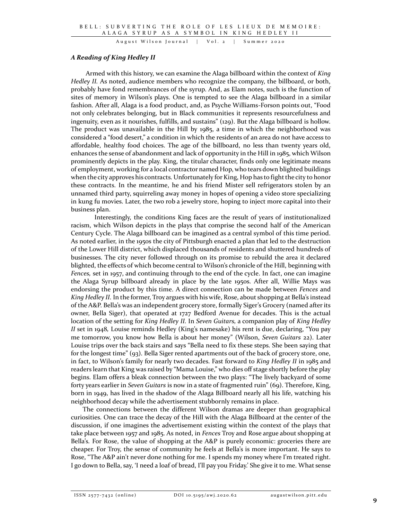## A Reading of King Hedley II

Armed with this history, we can examine the Alaga billboard within the context of King Hedley II. As noted, audience members who recognize the company, the billboard, or both, probably have fond remembrances of the syrup. And, as Elam notes, such is the function of sites of memory in Wilson's plays. One is tempted to see the Alaga billboard in a similar fashion. After all, Alaga is a food product, and, as Psyche Williams-Forson points out, "Food not only celebrates belonging, but in Black communities it represents resourcefulness and ingenuity, even as it nourishes, fulfills, and sustains" (129). But the Alaga billboard is hollow. The product was unavailable in the Hill by 1985, a time in which the neighborhood was considered a "food desert," a condition in which the residents of an area do not have access to affordable, healthy food choices. The age of the billboard, no less than twenty years old, enhances the sense of abandonment and lack of opportunity in the Hill in 1985, which Wilson prominently depicts in the play. King, the titular character, finds only one legitimate means of employment, working for a local contractor named Hop, who tears down blighted buildings when the city approves his contracts. Unfortunately for King, Hop has to fight the city to honor these contracts. In the meantime, he and his friend Mister sell refrigerators stolen by an unnamed third party, squirreling away money in hopes of opening a video store specializing in kung fu movies. Later, the two rob a jewelry store, hoping to inject more capital into their business plan.

 Interestingly, the conditions King faces are the result of years of institutionalized racism, which Wilson depicts in the plays that comprise the second half of the American Century Cycle. The Alaga billboard can be imagined as a central symbol of this time period. As noted earlier, in the 1950s the city of Pittsburgh enacted a plan that led to the destruction of the Lower Hill district, which displaced thousands of residents and shuttered hundreds of businesses. The city never followed through on its promise to rebuild the area it declared blighted, the effects of which become central to Wilson's chronicle of the Hill, beginning with Fences, set in 1957, and continuing through to the end of the cycle. In fact, one can imagine the Alaga Syrup billboard already in place by the late 1950s. After all, Willie Mays was endorsing the product by this time. A direct connection can be made between *Fences* and King Hedley II. In the former, Troy argues with his wife, Rose, about shopping at Bella's instead of the A&P. Bella's was an independent grocery store, formally Siger's Grocery (named after its owner, Bella Siger), that operated at 1727 Bedford Avenue for decades. This is the actual location of the setting for King Hedley II. In Seven Guitars, a companion play of King Hedley II set in 1948, Louise reminds Hedley (King's namesake) his rent is due, declaring, "You pay me tomorrow, you know how Bella is about her money" (Wilson, Seven Guitars 22). Later Louise trips over the back stairs and says "Bella need to fix these steps. She been saying that for the longest time" (93). Bella Siger rented apartments out of the back of grocery store, one, in fact, to Wilson's family for nearly two decades. Fast forward to King Hedley II in 1985 and readers learn that King was raised by "Mama Louise," who dies off stage shortly before the play begins. Elam offers a bleak connection between the two plays: "The lively backyard of some forty years earlier in Seven Guitars is now in a state of fragmented ruin" (69). Therefore, King, born in 1949, has lived in the shadow of the Alaga Billboard nearly all his life, watching his neighborhood decay while the advertisement stubbornly remains in place.

The connections between the different Wilson dramas are deeper than geographical curiosities. One can trace the decay of the Hill with the Alaga Billboard at the center of the discussion, if one imagines the advertisement existing within the context of the plays that take place between 1957 and 1985. As noted, in *Fences* Troy and Rose argue about shopping at Bella's. For Rose, the value of shopping at the A&P is purely economic: groceries there are cheaper. For Troy, the sense of community he feels at Bella's is more important. He says to Rose, "The A&P ain't never done nothing for me. I spends my money where I'm treated right. I go down to Bella, say, 'I need a loaf of bread, I'll pay you Friday.' She give it to me. What sense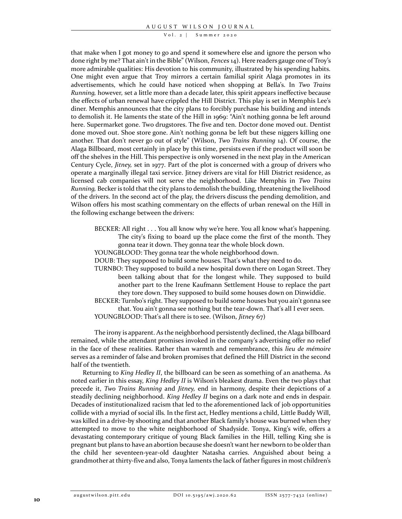$Vol. 2$  | Summer 2020

that make when I got money to go and spend it somewhere else and ignore the person who done right by me? That ain't in the Bible" (Wilson, Fences 14). Here readers gauge one of Troy's more admirable qualities: His devotion to his community, illustrated by his spending habits. One might even argue that Troy mirrors a certain familial spirit Alaga promotes in its advertisements, which he could have noticed when shopping at Bella's. In Two Trains Running, however, set a little more than a decade later, this spirit appears ineffective because the effects of urban renewal have crippled the Hill District. This play is set in Memphis Lee's diner. Memphis announces that the city plans to forcibly purchase his building and intends to demolish it. He laments the state of the Hill in 1969: "Ain't nothing gonna be left around here. Supermarket gone. Two drugstores. The five and ten. Doctor done moved out. Dentist done moved out. Shoe store gone. Ain't nothing gonna be left but these niggers killing one another. That don't never go out of style" (Wilson, Two Trains Running 14). Of course, the Alaga Billboard, most certainly in place by this time, persists even if the product will soon be off the shelves in the Hill. This perspective is only worsened in the next play in the American Century Cycle, Jitney, set in 1977. Part of the plot is concerned with a group of drivers who operate a marginally illegal taxi service. Jitney drivers are vital for Hill District residence, as licensed cab companies will not serve the neighborhood. Like Memphis in Two Trains Running, Becker is told that the city plans to demolish the building, threatening the livelihood of the drivers. In the second act of the play, the drivers discuss the pending demolition, and Wilson offers his most scathing commentary on the effects of urban renewal on the Hill in the following exchange between the drivers:

- BECKER: All right . . . You all know why we're here. You all know what's happening. The city's fixing to board up the place come the first of the month. They gonna tear it down. They gonna tear the whole block down.
- YOUNGBLOOD: They gonna tear the whole neighborhood down.
- DOUB: They supposed to build some houses. That's what they need to do.
- TURNBO: They supposed to build a new hospital down there on Logan Street. They been talking about that for the longest while. They supposed to build another part to the Irene Kaufmann Settlement House to replace the part they tore down. They supposed to build some houses down on Dinwiddie.
- BECKER: Turnbo's right. They supposed to build some houses but you ain't gonna see that. You ain't gonna see nothing but the tear-down. That's all I ever seen. YOUNGBLOOD: That's all there is to see. (Wilson, Jitney 67)

The irony is apparent. As the neighborhood persistently declined, the Alaga billboard remained, while the attendant promises invoked in the company's advertising offer no relief in the face of these realities. Rather than warmth and remembrance, this lieu de mémoire serves as a reminder of false and broken promises that defined the Hill District in the second half of the twentieth.

Returning to King Hedley II, the billboard can be seen as something of an anathema. As noted earlier in this essay, King Hedley II is Wilson's bleakest drama. Even the two plays that precede it, Two Trains Running and Jitney, end in harmony, despite their depictions of a steadily declining neighborhood. King Hedley II begins on a dark note and ends in despair. Decades of institutionalized racism that led to the aforementioned lack of job opportunities collide with a myriad of social ills. In the first act, Hedley mentions a child, Little Buddy Will, was killed in a drive-by shooting and that another Black family's house was burned when they attempted to move to the white neighborhood of Shadyside. Tonya, King's wife, offers a devastating contemporary critique of young Black families in the Hill, telling King she is pregnant but plans to have an abortion because she doesn't want her newborn to be older than the child her seventeen-year-old daughter Natasha carries. Anguished about being a grandmother at thirty-five and also, Tonya laments the lack of father figures in most children's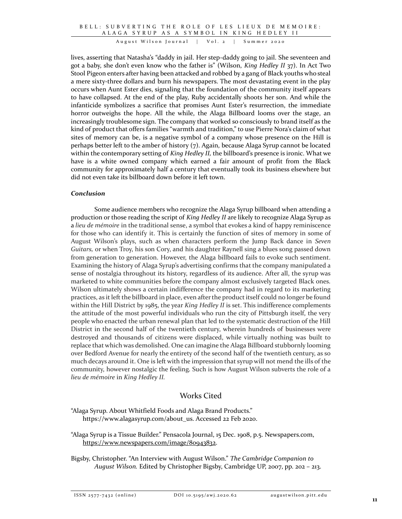lives, asserting that Natasha's "daddy in jail. Her step-daddy going to jail. She seventeen and got a baby, she don't even know who the father is" (Wilson, King Hedley II 37). In Act Two Stool Pigeon enters after having been attacked and robbed by a gang of Black youths who steal a mere sixty-three dollars and burn his newspapers. The most devastating event in the play occurs when Aunt Ester dies, signaling that the foundation of the community itself appears to have collapsed. At the end of the play, Ruby accidentally shoots her son. And while the infanticide symbolizes a sacrifice that promises Aunt Ester's resurrection, the immediate horror outweighs the hope. All the while, the Alaga Billboard looms over the stage, an increasingly troublesome sign. The company that worked so consciously to brand itself as the kind of product that offers families "warmth and tradition," to use Pierre Nora's claim of what sites of memory can be, is a negative symbol of a company whose presence on the Hill is perhaps better left to the amber of history (7). Again, because Alaga Syrup cannot be located within the contemporary setting of King Hedley II, the billboard's presence is ironic. What we have is a white owned company which earned a fair amount of profit from the Black community for approximately half a century that eventually took its business elsewhere but did not even take its billboard down before it left town.

## Conclusion

Some audience members who recognize the Alaga Syrup billboard when attending a production or those reading the script of King Hedley II are likely to recognize Alaga Syrup as a lieu de mémoire in the traditional sense, a symbol that evokes a kind of happy reminiscence for those who can identify it. This is certainly the function of sites of memory in some of August Wilson's plays, such as when characters perform the Jump Back dance in Seven Guitars, or when Troy, his son Cory, and his daughter Raynell sing a blues song passed down from generation to generation. However, the Alaga billboard fails to evoke such sentiment. Examining the history of Alaga Syrup's advertising confirms that the company manipulated a sense of nostalgia throughout its history, regardless of its audience. After all, the syrup was marketed to white communities before the company almost exclusively targeted Black ones. Wilson ultimately shows a certain indifference the company had in regard to its marketing practices, as it left the billboard in place, even after the product itself could no longer be found within the Hill District by 1985, the year *King Hedley II* is set. This indifference complements the attitude of the most powerful individuals who run the city of Pittsburgh itself, the very people who enacted the urban renewal plan that led to the systematic destruction of the Hill District in the second half of the twentieth century, wherein hundreds of businesses were destroyed and thousands of citizens were displaced, while virtually nothing was built to replace that which was demolished. One can imagine the Alaga Billboard stubbornly looming over Bedford Avenue for nearly the entirety of the second half of the twentieth century, as so much decays around it. One is left with the impression that syrup will not mend the ills of the community, however nostalgic the feeling. Such is how August Wilson subverts the role of a lieu de mémoire in King Hedley II.

# Works Cited

"Alaga Syrup. About Whitfield Foods and Alaga Brand Products." https://www.alagasyrup.com/about\_us. Accessed 22 Feb 2020.

"Alaga Syrup is a Tissue Builder." Pensacola Journal, 15 Dec. 1908, p.5. Newspapers.com, https://www.newspapers.com/image/80943832.

Bigsby, Christopher. "An Interview with August Wilson." The Cambridge Companion to August Wilson. Edited by Christopher Bigsby, Cambridge UP, 2007, pp. 202 – 213.

ISSN 2577-7432 (online) DOI 10.5195/awj.2020.62 augustwilson.pitt.edu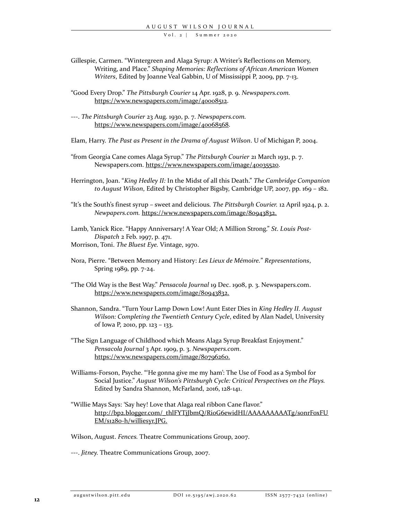$Vol. 2$  | Summer 2020

- Gillespie, Carmen. "Wintergreen and Alaga Syrup: A Writer's Reflections on Memory, Writing, and Place." Shaping Memories: Reflections of African American Women Writers, Edited by Joanne Veal Gabbin, U of Mississippi P, 2009, pp. 7-13.
- "Good Every Drop." The Pittsburgh Courier 14 Apr. 1928, p. 9. Newspapers.com. https://www.newspapers.com/image/40008512.
- ---. The Pittsburgh Courier 23 Aug. 1930, p. 7. Newspapers.com. https://www.newspapers.com/image/40068568.
- Elam, Harry. The Past as Present in the Drama of August Wilson. U of Michigan P, 2004.
- "from Georgia Cane comes Alaga Syrup." The Pittsburgh Courier 21 March 1931, p. 7. Newspapers.com. https://www.newspapers.com/image/40035520.
- Herrington, Joan. "King Hedley II: In the Midst of all this Death." The Cambridge Companion to August Wilson, Edited by Christopher Bigsby, Cambridge UP, 2007, pp. 169 – 182.
- "It's the South's finest syrup sweet and delicious. The Pittsburgh Courier. 12 April 1924, p. 2. Newpapers.com. https://www.newspapers.com/image/80943832.

Lamb, Yanick Rice. "Happy Anniversary! A Year Old; A Million Strong." St. Louis Post-Dispatch 2 Feb. 1997, p. 471. Morrison, Toni. The Bluest Eye. Vintage, 1970.

- Nora, Pierre. "Between Memory and History: Les Lieux de Mémoire." Representations, Spring 1989, pp. 7-24.
- "The Old Way is the Best Way." Pensacola Journal 19 Dec. 1908, p. 3. Newspapers.com. https://www.newspapers.com/image/80943832.
- Shannon, Sandra. "Turn Your Lamp Down Low! Aunt Ester Dies in King Hedley II. August Wilson: Completing the Twentieth Century Cycle, edited by Alan Nadel, University of Iowa P, 2010, pp. 123 – 133.
- "The Sign Language of Childhood which Means Alaga Syrup Breakfast Enjoyment." Pensacola Journal 3 Apr. 1909, p. 3. Newspapers.com. https://www.newspapers.com/image/80796260.
- Williams-Forson, Psyche. "'He gonna give me my ham': The Use of Food as a Symbol for Social Justice." August Wilson's Pittsburgh Cycle: Critical Perspectives on the Plays. Edited by Sandra Shannon, McFarland, 2016, 128-141.
- "Willie Mays Says: 'Say hey! Love that Alaga real ribbon Cane flavor." http://bp2.blogger.com/\_thlFYTjJbmQ/RioG6ewidHI/AAAAAAAAATg/sonrFoxFU EM/s1280-h/williesyr.JPG.

Wilson, August. Fences. Theatre Communications Group, 2007.

---. Jitney. Theatre Communications Group, 2007.